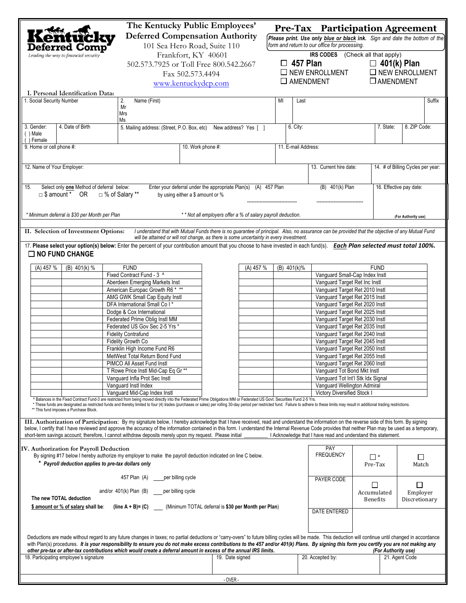|                                                                                                                                                                                                                                                                                                                                                                                                                                                                                                                                                                                 |                                                                                                                   | The Kentucky Public Employees'<br><b>Deferred Compensation Authority</b> |                                                                                                                                                                                    | Pre-Tax Participation Agreement<br>Please print. Use only blue or black ink. Sign and date the bottom of the |                                |                                                                  |                                |                                          |  |  |
|---------------------------------------------------------------------------------------------------------------------------------------------------------------------------------------------------------------------------------------------------------------------------------------------------------------------------------------------------------------------------------------------------------------------------------------------------------------------------------------------------------------------------------------------------------------------------------|-------------------------------------------------------------------------------------------------------------------|--------------------------------------------------------------------------|------------------------------------------------------------------------------------------------------------------------------------------------------------------------------------|--------------------------------------------------------------------------------------------------------------|--------------------------------|------------------------------------------------------------------|--------------------------------|------------------------------------------|--|--|
| Deferred Comp'<br>Leading the way to financial security                                                                                                                                                                                                                                                                                                                                                                                                                                                                                                                         | 101 Sea Hero Road, Suite 110<br>Frankfort, KY 40601<br>502.573.7925 or Toll Free 800.542.2667<br>Fax 502.573.4494 |                                                                          | form and return to our office for processing.<br>IRS CODES (Check all that apply)<br>$\Box$ 457 Plan<br>$\Box$ 401(k) Plan<br>$\square$ NEW ENROLLMENT<br>$\square$ NEW ENROLLMENT |                                                                                                              |                                |                                                                  |                                |                                          |  |  |
| $\square$ AMENDMENT<br>$\square$ AMENDMENT<br>www.kentuckydcp.com                                                                                                                                                                                                                                                                                                                                                                                                                                                                                                               |                                                                                                                   |                                                                          |                                                                                                                                                                                    |                                                                                                              |                                |                                                                  |                                |                                          |  |  |
| I. Personal Identification Data:<br>1. Social Security Number<br>Name (First)<br>2.<br>MI<br>Last                                                                                                                                                                                                                                                                                                                                                                                                                                                                               |                                                                                                                   |                                                                          |                                                                                                                                                                                    |                                                                                                              |                                |                                                                  |                                | Suffix                                   |  |  |
|                                                                                                                                                                                                                                                                                                                                                                                                                                                                                                                                                                                 | Mr<br>Mrs<br>Ms                                                                                                   |                                                                          |                                                                                                                                                                                    |                                                                                                              |                                |                                                                  |                                |                                          |  |  |
| 3. Gender:<br>4. Date of Birth<br>() Male<br>() Female                                                                                                                                                                                                                                                                                                                                                                                                                                                                                                                          | 5. Mailing address: (Street, P.O. Box, etc) New address? Yes [ ]                                                  |                                                                          |                                                                                                                                                                                    |                                                                                                              | 6. City:                       |                                                                  | 7. State:                      | 8. ZIP Code:                             |  |  |
| 9. Home or cell phone #:<br>10. Work phone #:<br>11. E-mail Address:                                                                                                                                                                                                                                                                                                                                                                                                                                                                                                            |                                                                                                                   |                                                                          |                                                                                                                                                                                    |                                                                                                              |                                |                                                                  |                                |                                          |  |  |
| 12. Name of Your Employer:                                                                                                                                                                                                                                                                                                                                                                                                                                                                                                                                                      |                                                                                                                   |                                                                          |                                                                                                                                                                                    |                                                                                                              |                                | 13. Current hire date:<br>14. # of Billing Cycles per year:      |                                |                                          |  |  |
| Select only one Method of deferral below:<br>15.<br>Enter your deferral under the appropriate Plan(s) (A) 457 Plan<br>□ \$ amount * OR<br>□ % of Salary **<br>by using either a \$ amount or %                                                                                                                                                                                                                                                                                                                                                                                  |                                                                                                                   |                                                                          |                                                                                                                                                                                    |                                                                                                              |                                | (B) 401(k) Plan<br>16. Effective pay date:                       |                                |                                          |  |  |
| * Minimum deferral is \$30 per Month per Plan<br>** Not all employers offer a % of salary payroll deduction.                                                                                                                                                                                                                                                                                                                                                                                                                                                                    |                                                                                                                   |                                                                          |                                                                                                                                                                                    |                                                                                                              |                                |                                                                  | (For Authority use)            |                                          |  |  |
| I understand that with Mutual Funds there is no guarantee of principal. Also, no assurance can be provided that the objective of any Mutual Fund<br>II. Selection of Investment Options:<br>will be attained or will not change, as there is some uncertainty in every investment.                                                                                                                                                                                                                                                                                              |                                                                                                                   |                                                                          |                                                                                                                                                                                    |                                                                                                              |                                |                                                                  |                                |                                          |  |  |
| 17. Please select your option(s) below: Enter the percent of your contribution amount that you choose to have invested in each fund(s). Each Plan selected must total 100%.<br>$\Box$ NO FUND CHANGE                                                                                                                                                                                                                                                                                                                                                                            |                                                                                                                   |                                                                          |                                                                                                                                                                                    |                                                                                                              |                                |                                                                  |                                |                                          |  |  |
| (A) 457 %<br>$(B)$ 401(k) %                                                                                                                                                                                                                                                                                                                                                                                                                                                                                                                                                     | <b>FUND</b>                                                                                                       |                                                                          | (A) 457 %                                                                                                                                                                          |                                                                                                              | (B) 401(k)%                    |                                                                  | <b>FUND</b>                    |                                          |  |  |
|                                                                                                                                                                                                                                                                                                                                                                                                                                                                                                                                                                                 | Fixed Contract Fund - 3 ^<br>Aberdeen Emerging Markets Inst                                                       |                                                                          |                                                                                                                                                                                    |                                                                                                              |                                | Vanguard Small-Cap Index Instl<br>Vanguard Target Ret Inc Instl  |                                |                                          |  |  |
| American Europac Growth R6 * **                                                                                                                                                                                                                                                                                                                                                                                                                                                                                                                                                 |                                                                                                                   |                                                                          |                                                                                                                                                                                    |                                                                                                              |                                |                                                                  | Vanguard Target Ret 2010 Instl |                                          |  |  |
| AMG GWK Small Cap Equity Instl                                                                                                                                                                                                                                                                                                                                                                                                                                                                                                                                                  |                                                                                                                   |                                                                          |                                                                                                                                                                                    |                                                                                                              |                                | Vanguard Target Ret 2015 Instl                                   |                                |                                          |  |  |
|                                                                                                                                                                                                                                                                                                                                                                                                                                                                                                                                                                                 | DFA International Small Co I*<br>Dodge & Cox International                                                        |                                                                          |                                                                                                                                                                                    |                                                                                                              |                                | Vanguard Target Ret 2020 Instl<br>Vanguard Target Ret 2025 Instl |                                |                                          |  |  |
|                                                                                                                                                                                                                                                                                                                                                                                                                                                                                                                                                                                 | Federated Prime Oblig Instl MM                                                                                    |                                                                          |                                                                                                                                                                                    |                                                                                                              |                                | Vanguard Target Ret 2030 Instl                                   |                                |                                          |  |  |
|                                                                                                                                                                                                                                                                                                                                                                                                                                                                                                                                                                                 | Federated US Gov Sec 2-5 Yrs *                                                                                    |                                                                          |                                                                                                                                                                                    |                                                                                                              |                                | Vanguard Target Ret 2035 Instl                                   |                                |                                          |  |  |
|                                                                                                                                                                                                                                                                                                                                                                                                                                                                                                                                                                                 | <b>Fidelity Contrafund</b>                                                                                        |                                                                          |                                                                                                                                                                                    |                                                                                                              |                                | Vanquard Target Ret 2040 Instl<br>Vanquard Target Ret 2045 Instl |                                |                                          |  |  |
|                                                                                                                                                                                                                                                                                                                                                                                                                                                                                                                                                                                 | Fidelity Growth Co<br>Franklin High Income Fund R6                                                                |                                                                          |                                                                                                                                                                                    |                                                                                                              |                                | Vanguard Target Ret 2050 Instl                                   |                                |                                          |  |  |
| MetWest Total Return Bond Fund                                                                                                                                                                                                                                                                                                                                                                                                                                                                                                                                                  |                                                                                                                   |                                                                          |                                                                                                                                                                                    |                                                                                                              | Vanguard Target Ret 2055 Instl |                                                                  |                                |                                          |  |  |
| PIMCO All Asset Fund Instl                                                                                                                                                                                                                                                                                                                                                                                                                                                                                                                                                      |                                                                                                                   |                                                                          |                                                                                                                                                                                    |                                                                                                              |                                | Vanguard Target Ret 2060 Instl                                   |                                |                                          |  |  |
| T Rowe Price Instl Mid-Cap Eq Gr **<br>Vanguard Infla Prot Sec Instl                                                                                                                                                                                                                                                                                                                                                                                                                                                                                                            |                                                                                                                   |                                                                          |                                                                                                                                                                                    |                                                                                                              |                                | Vanquard Tot Bond Mkt Instl<br>Vanguard Tot Int'l Stk Idx Signal |                                |                                          |  |  |
| Vanguard Instl Index                                                                                                                                                                                                                                                                                                                                                                                                                                                                                                                                                            |                                                                                                                   |                                                                          |                                                                                                                                                                                    |                                                                                                              |                                | Vanguard Wellington Admiral                                      |                                |                                          |  |  |
| Vanguard Mid-Cap Index Instl                                                                                                                                                                                                                                                                                                                                                                                                                                                                                                                                                    |                                                                                                                   |                                                                          |                                                                                                                                                                                    |                                                                                                              |                                | <b>Victory Diversified Stock I</b>                               |                                |                                          |  |  |
| ^ Balances in the Fixed Contract Fund-3 are restricted from being moved directly into the Federated Prime Obligations MM or Federated US Govt. Securities Fund 2-5 Yrs.<br>* These funds are designated as restricted funds and thereby limited to four (4) trades (purchases or sales) per rolling 30-day period per restricted fund. Failure to adhere to these limits may result in additional trading<br>** This fund imposes a Purchase Block.                                                                                                                             |                                                                                                                   |                                                                          |                                                                                                                                                                                    |                                                                                                              |                                |                                                                  |                                |                                          |  |  |
| III. Authorization of Participation: By my signature below, I hereby acknowledge that I have received, read and understand the information on the reverse side of this form. By signing<br>below, I certify that I have reviewed and approve the accuracy of the information contained in this form. I understand the Internal Revenue Code provides that neither Plan may be used as a temporary,<br>short-term savings account; therefore, I cannot withdraw deposits merely upon my request. Please initial<br>I Acknowledge that I have read and understand this statement. |                                                                                                                   |                                                                          |                                                                                                                                                                                    |                                                                                                              |                                |                                                                  |                                |                                          |  |  |
| IV. Authorization for Payroll Deduction<br>By signing #17 below I hereby authorize my employer to make the payroll deduction indicated on line C below.<br>* Payroll deduction applies to pre-tax dollars only                                                                                                                                                                                                                                                                                                                                                                  |                                                                                                                   |                                                                          |                                                                                                                                                                                    |                                                                                                              |                                | PAY<br><b>FREQUENCY</b>                                          | $\Box$ *<br>Pre-Tax            | П<br>Match                               |  |  |
| 457 Plan (A) ____ per billing cycle                                                                                                                                                                                                                                                                                                                                                                                                                                                                                                                                             |                                                                                                                   |                                                                          |                                                                                                                                                                                    |                                                                                                              |                                | PAYER CODE                                                       |                                |                                          |  |  |
| and/or 401(k) Plan (B) per billing cycle<br>The new TOTAL deduction                                                                                                                                                                                                                                                                                                                                                                                                                                                                                                             |                                                                                                                   |                                                                          |                                                                                                                                                                                    |                                                                                                              |                                |                                                                  | Accumulated<br><b>Benefits</b> | □<br>$\Box$<br>Employer<br>Discretionary |  |  |
| \$ amount or % of salary shall be: (line A + B)= (C) (Minimum TOTAL deferral is \$30 per Month per Plan)                                                                                                                                                                                                                                                                                                                                                                                                                                                                        |                                                                                                                   |                                                                          |                                                                                                                                                                                    |                                                                                                              |                                | <b>DATE ENTERED</b>                                              |                                |                                          |  |  |
| Deductions are made without regard to any future changes in taxes; no partial deductions or "carry-overs" to future billing cycles will be made. This deduction will continue until changed in accordance<br>with Plan(s) procedures. It is your responsibility to ensure you do not make excess contributions to the 457 and/or 401(k) Plans. By signing this form you certify you are not making any<br>other pre-tax or after-tax contributions which would create a deferral amount in excess of the annual IRS limits.<br>(For Authority use)                              |                                                                                                                   |                                                                          |                                                                                                                                                                                    |                                                                                                              |                                |                                                                  |                                |                                          |  |  |
| 18. Participating employee's signature                                                                                                                                                                                                                                                                                                                                                                                                                                                                                                                                          |                                                                                                                   | 19. Date signed                                                          |                                                                                                                                                                                    |                                                                                                              |                                | 20. Accepted by:                                                 |                                | 21. Agent Code                           |  |  |
| $-$ OVER $-$                                                                                                                                                                                                                                                                                                                                                                                                                                                                                                                                                                    |                                                                                                                   |                                                                          |                                                                                                                                                                                    |                                                                                                              |                                |                                                                  |                                |                                          |  |  |